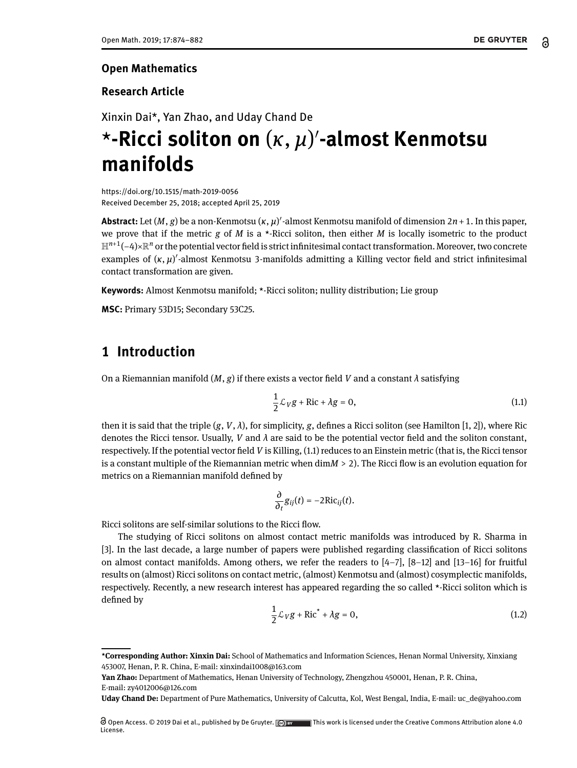#### **Open Mathematics**

#### **Research Article**

# Xinxin Dai\*, Yan Zhao, and Uday Chand De \***-Ricci soliton on** (*κ*, *µ*) 0 **-almost Kenmotsu manifolds**

<https://doi.org/10.1515/math-2019-0056> Received December 25, 2018; accepted April 25, 2019

**Abstract:** Let  $(M, g)$  be a non-Kenmotsu  $(\kappa, \mu)'$ -almost Kenmotsu manifold of dimension 2*n* + 1. In this paper, we prove that if the metric *g* of *M* is a \*-Ricci soliton, then either *M* is locally isometric to the product H  $^{n+1}$ (−4)× $\R^n$  or the potential vector field is strict infinitesimal contact transformation. Moreover, two concrete examples of  $(\kappa, \mu)'$ -almost Kenmotsu 3-manifolds admitting a Killing vector field and strict infinitesimal contact transformation are given.

**Keywords:** Almost Kenmotsu manifold; \*-Ricci soliton; nullity distribution; Lie group

**MSC:** Primary 53D15; Secondary 53C25.

### **1 Introduction**

On a Riemannian manifold  $(M, g)$  if there exists a vector field V and a constant  $\lambda$  satisfying

<span id="page-0-0"></span>
$$
\frac{1}{2}\mathcal{L}_V g + \text{Ric} + \lambda g = 0, \tag{1.1}
$$

then it is said that the triple  $(g, V, \lambda)$ , for simplicity, g, defines a Ricci soliton (see Hamilton [\[1,](#page-7-0) [2\]](#page-7-1)), where Ric denotes the Ricci tensor. Usually, *V* and  $\lambda$  are said to be the potential vector field and the soliton constant, respectively. If the potential vector eld *V* is Killing, [\(1.1\)](#page-0-0) reduces to an Einstein metric (that is, the Ricci tensor is a constant multiple of the Riemannian metric when  $\dim M > 2$ ). The Ricci flow is an evolution equation for metrics on a Riemannian manifold defined by

$$
\frac{\partial}{\partial_t}g_{ij}(t)=-2\mathrm{Ric}_{ij}(t).
$$

Ricci solitons are self-similar solutions to the Ricci flow.

<span id="page-0-1"></span>The studying of Ricci solitons on almost contact metric manifolds was introduced by R. Sharma in [\[3\]](#page-7-2). In the last decade, a large number of papers were published regarding classification of Ricci solitons on almost contact manifolds. Among others, we refer the readers to  $[4-7]$  $[4-7]$ ,  $[8-12]$  $[8-12]$  and  $[13-16]$  $[13-16]$  for fruitful results on (almost) Ricci solitons on contact metric, (almost) Kenmotsu and (almost) cosymplectic manifolds, respectively. Recently, a new research interest has appeared regarding the so called \*-Ricci soliton which is defined by

$$
\frac{1}{2}\mathcal{L}_V g + \text{Ric}^* + \lambda g = 0,
$$
\n(1.2)

**<sup>\*</sup>Corresponding Author: Xinxin Dai:** School of Mathematics and Information Sciences, Henan Normal University, Xinxiang 453007, Henan, P. R. China, E-mail: xinxindai1008@163.com

**Yan Zhao:** Department of Mathematics, Henan University of Technology, Zhengzhou 450001, Henan, P. R. China, E-mail: zy4012006@126.com

**Uday Chand De:** Department of Pure Mathematics, University of Calcutta, Kol, West Bengal, India, E-mail: uc\_de@yahoo.com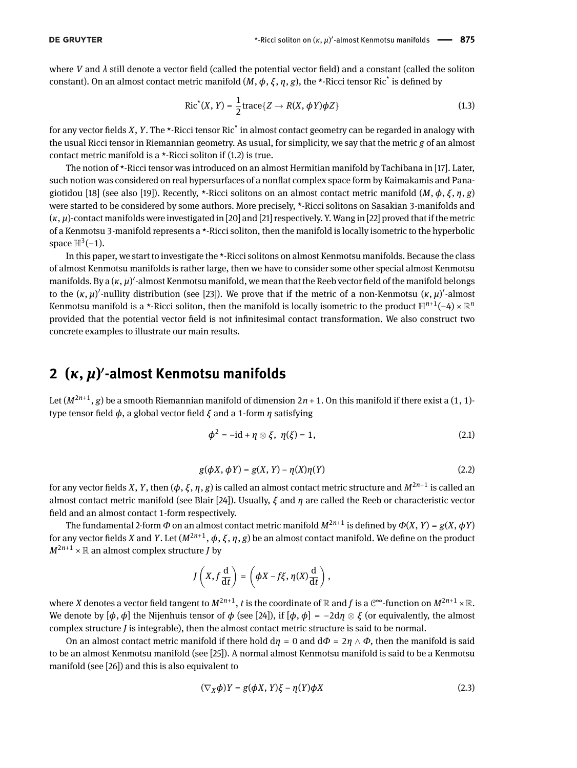where *V* and  $\lambda$  still denote a vector field (called the potential vector field) and a constant (called the soliton constant). On an almost contact metric manifold  $(M, \phi, \xi, \eta, g)$ , the \*-Ricci tensor Ric<sup>\*</sup> is defined by

<span id="page-1-1"></span>
$$
Ric^{*}(X, Y) = \frac{1}{2}trace{Z \rightarrow R(X, \phi Y)\phi Z}
$$
\n(1.3)

for any vector fields *X*, *Y*. The \*-Ricci tensor Ric<sup>\*</sup> in almost contact geometry can be regarded in analogy with the usual Ricci tensor in Riemannian geometry. As usual, for simplicity, we say that the metric *g* of an almost contact metric manifold is a  $\star$ -Ricci soliton if [\(1.2\)](#page-0-1) is true.

The notion of \*-Ricci tensor was introduced on an almost Hermitian manifold by Tachibana in [\[17\]](#page-7-9). Later, such notion was considered on real hypersurfaces of a nonflat complex space form by Kaimakamis and Pana-giotidou [\[18\]](#page-7-10) (see also [\[19\]](#page-8-1)). Recently, \*-Ricci solitons on an almost contact metric manifold  $(M, \phi, \xi, \eta, g)$ were started to be considered by some authors. More precisely, \*-Ricci solitons on Sasakian 3-manifolds and (*κ*, *µ*)-contact manifolds were investigated in [\[20\]](#page-8-2) and [\[21\]](#page-8-3) respectively. Y. Wang in [\[22\]](#page-8-4) proved that if the metric of a Kenmotsu 3-manifold represents a \*-Ricci soliton, then the manifold is locally isometric to the hyperbolic space  $\mathbb{H}^3(-1)$ .

In this paper, we start to investigate the \*-Ricci solitons on almost Kenmotsu manifolds. Because the class of almost Kenmotsu manifolds is rather large, then we have to consider some other special almost Kenmotsu manifolds. By a (κ, μ)<sup>'</sup>-almost Kenmotsu manifold, we mean that the Reeb vector field of the manifold belongs to the  $(\kappa, \mu)'$ -nullity distribution (see [\[23\]](#page-8-5)). We prove that if the metric of a non-Kenmotsu  $(\kappa, \mu)'$ -almost Kenmotsu manifold is a \*-Ricci soliton, then the manifold is locally isometric to the product H *<sup>n</sup>*+1(−4) × R *n* provided that the potential vector field is not infinitesimal contact transformation. We also construct two concrete examples to illustrate our main results.

## **2 (***κ***,** *µ***)** 0 **-almost Kenmotsu manifolds**

Let (*M*2*n*+1 , *g*) be a smooth Riemannian manifold of dimension 2*n* + 1. On this manifold if there exist a (1, 1) type tensor field  $\phi$ , a global vector field  $\zeta$  and a 1-form *η* satisfying

<span id="page-1-0"></span>
$$
\phi^2 = -id + \eta \otimes \xi, \ \eta(\xi) = 1, \tag{2.1}
$$

$$
g(\phi X, \phi Y) = g(X, Y) - \eta(X)\eta(Y)
$$
\n(2.2)

for any vector fields *X*, *Y*, then ( $\phi$ ,  $\xi$ ,  $\eta$ ,  $g$ ) is called an almost contact metric structure and  $M^{2n+1}$  is called an almost contact metric manifold (see Blair [\[24\]](#page-8-6)). Usually, *ξ* and *η* are called the Reeb or characteristic vector field and an almost contact 1-form respectively.

The fundamental 2-form  $\Phi$  on an almost contact metric manifold  $M^{2n+1}$  is defined by  $\Phi(X, Y) = g(X, \Phi Y)$ for any vector fields *X* and *Y*. Let ( $M^{2n+1}$ ,  $\phi$ ,  $\xi$ ,  $\eta$ ,  $g$ ) be an almost contact manifold. We define on the product  $M^{2n+1} \times \mathbb{R}$  an almost complex structure *J* by

$$
J\left(X, f\frac{\mathrm{d}}{\mathrm{d}t}\right) = \left(\phi X - f\xi, \eta(X)\frac{\mathrm{d}}{\mathrm{d}t}\right),\,
$$

where  $X$  denotes a vector field tangent to  $M^{2n+1}$ ,  $t$  is the coordinate of  $\R$  and  $f$  is a  $\mathbb{C}^\infty$ -function on  $M^{2n+1}\times\R.$ We denote by  $[\phi, \phi]$  the Nijenhuis tensor of  $\phi$  (see [\[24\]](#page-8-6)), if  $[\phi, \phi] = -2d\eta \otimes \xi$  (or equivalently, the almost complex structure *J* is integrable), then the almost contact metric structure is said to be normal.

On an almost contact metric manifold if there hold  $d\eta = 0$  and  $d\Phi = 2\eta \wedge \Phi$ , then the manifold is said to be an almost Kenmotsu manifold (see [\[25\]](#page-8-7)). A normal almost Kenmotsu manifold is said to be a Kenmotsu manifold (see [\[26\]](#page-8-8)) and this is also equivalent to

$$
(\nabla_X \phi)Y = g(\phi X, Y)\xi - \eta(Y)\phi X \tag{2.3}
$$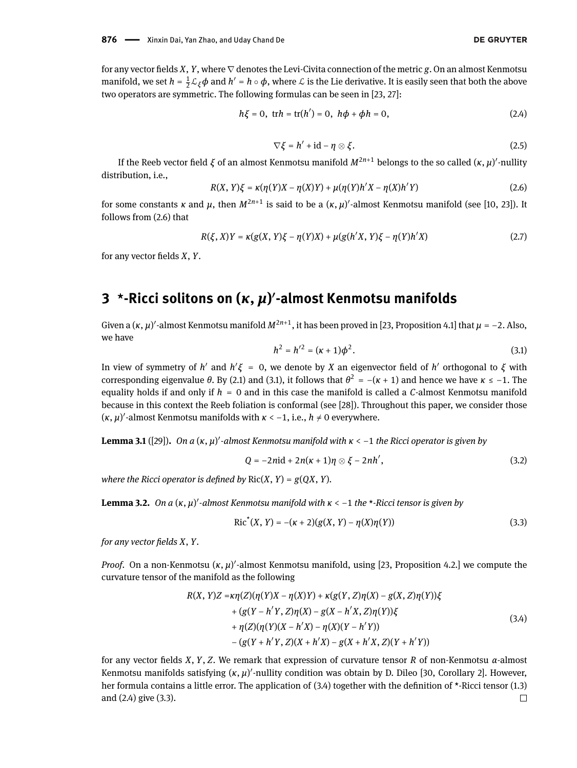for any vector fields *X*, *Y*, where  $\nabla$  denotes the Levi-Civita connection of the metric *g*. On an almost Kenmotsu manifold, we set  $h = \frac{1}{2}\mathcal{L}_\xi\phi$  and  $h' = h\circ\phi$ , where  $\mathcal L$  is the Lie derivative. It is easily seen that both the above two operators are symmetric. The following formulas can be seen in [\[23,](#page-8-5) [27\]](#page-8-9):

$$
h\xi = 0, \ \ \text{tr}h = \text{tr}(h') = 0, \ \ h\phi + \phi h = 0, \tag{2.4}
$$

<span id="page-2-3"></span>
$$
\nabla \xi = h' + \mathrm{id} - \eta \otimes \xi. \tag{2.5}
$$

If the Reeb vector field *ξ* of an almost Kenmotsu manifold  $M^{2n+1}$  belongs to the so called  $(\kappa, \mu)'$ -nullity distribution, i.e.,

<span id="page-2-0"></span>
$$
R(X, Y)\xi = \kappa(\eta(Y)X - \eta(X)Y) + \mu(\eta(Y)h'X - \eta(X)h'Y)
$$
\n(2.6)

for some constants  $\kappa$  and  $\mu$ , then  $M^{2n+1}$  is said to be a  $(\kappa,\mu)'$ -almost Kenmotsu manifold (see [\[10,](#page-7-11) [23\]](#page-8-5)). It follows from [\(2.6\)](#page-2-0) that

$$
R(\xi, X)Y = \kappa(g(X, Y)\xi - \eta(Y)X) + \mu(g(h'X, Y)\xi - \eta(Y)h'X)
$$
\n(2.7)

for any vector fields *X*, *Y*.

## **3 \*-Ricci solitons on (***κ***,** *µ***)** 0 **-almost Kenmotsu manifolds**

<span id="page-2-1"></span>Given a  $(\kappa, \mu)'$ -almost Kenmotsu manifold  $M^{2n+1}$ , it has been proved in [\[23,](#page-8-5) Proposition 4.1] that  $\mu$  = −2. Also, we have

<span id="page-2-5"></span>
$$
h^2 = h'^2 = (\kappa + 1)\phi^2.
$$
 (3.1)

In view of symmetry of *h'* and  $h' \xi = 0$ , we denote by *X* an eigenvector field of *h'* orthogonal to  $\xi$  with corresponding eigenvalue *θ*. By [\(2.1\)](#page-1-0) and [\(3.1\)](#page-2-1), it follows that  $θ^2 = -(κ + 1)$  and hence we have *κ* ≤ −1. The equality holds if and only if *h* = 0 and in this case the manifold is called a *C*-almost Kenmotsu manifold because in this context the Reeb foliation is conformal (see [\[28\]](#page-8-10)). Throughout this paper, we consider those  $(k, \mu)'$ -almost Kenmotsu manifolds with  $k < -1$ , i.e.,  $h \neq 0$  everywhere.

**Lemma 3.1** ([\[29\]](#page-8-11)). On a (κ, μ)'-almost Kenmotsu manifold with *κ* < −1 the Ricci operator is given by

<span id="page-2-4"></span>
$$
Q = -2ni\mathrm{d} + 2n(\kappa+1)\eta \otimes \xi - 2nh',\tag{3.2}
$$

*where the Ricci operator is defined by*  $Ric(X, Y) = g(QX, Y)$ .

**Lemma 3.2.** On a (κ, μ)<sup>*'*</sup>-almost Kenmotsu manifold with κ < −1 the \*-Ricci tensor is given by

<span id="page-2-2"></span>
$$
Ric^{*}(X, Y) = -(x + 2)(g(X, Y) - \eta(X)\eta(Y))
$$
\n(3.3)

*for any vector fields X, Y.* 

*Proof.* On a non-Kenmotsu  $(\kappa, \mu)'$ -almost Kenmotsu manifold, using [\[23,](#page-8-5) Proposition 4.2.] we compute the curvature tensor of the manifold as the following

$$
R(X, Y)Z = \kappa \eta(Z)(\eta(Y)X - \eta(X)Y) + \kappa(g(Y, Z)\eta(X) - g(X, Z)\eta(Y))\xi
$$
  
+  $(g(Y - h'Y, Z)\eta(X) - g(X - h'X, Z)\eta(Y))\xi$   
+  $\eta(Z)(\eta(Y)(X - h'X) - \eta(X)(Y - h'Y))$   
-  $(g(Y + h'Y, Z)(X + h'X) - g(X + h'X, Z)(Y + h'Y))$  (3.4)

for any vector fields *X*, *Y*, *Z*. We remark that expression of curvature tensor *R* of non-Kenmotsu  $\alpha$ -almost Kenmotsu manifolds satisfying (*κ*, *μ*)<sup>*I*</sup>-nullity condition was obtain by D. Dileo [\[30,](#page-8-12) Corollary 2]. However, her formula contains a little error. The application of  $(3.4)$  together with the definition of \*-Ricci tensor  $(1.3)$ and [\(2.4\)](#page-2-3) give [\(3.3\)](#page-2-4). $\Box$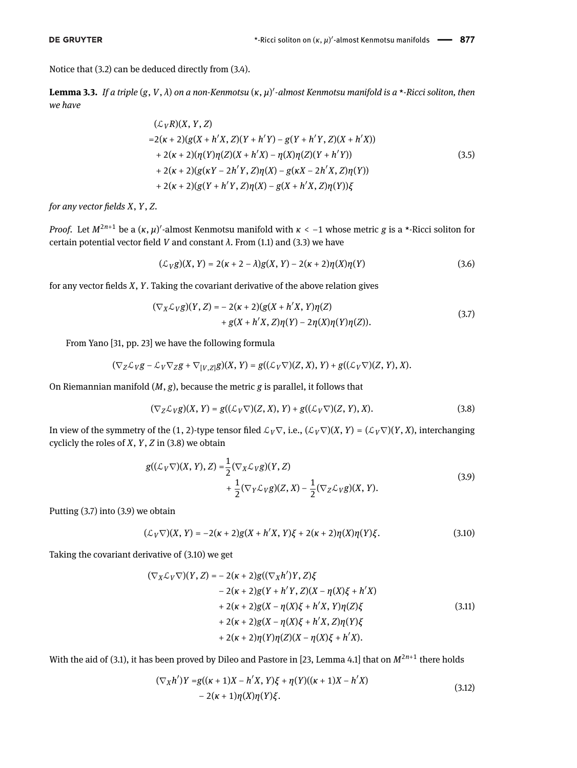Notice that [\(3.2\)](#page-2-5) can be deduced directly from [\(3.4\)](#page-2-2).

<span id="page-3-6"></span>**Lemma 3.3.** *If a triple* (*g*, *V*, *λ*) *on a non-Kenmotsu* (*κ*, *µ*) 0 *-almost Kenmotsu manifold is a* \**-Ricci soliton, then we have*

$$
(\mathcal{L}_V R)(X, Y, Z)
$$
  
=2( $\kappa$  + 2)( $g(X + h'X, Z)(Y + h'Y) - g(Y + h'Y, Z)(X + h'X)$ )  
+2( $\kappa$  + 2)( $\eta(Y)\eta(Z)(X + h'X) - \eta(X)\eta(Z)(Y + h'Y)$ )  
+2( $\kappa$  + 2)( $g(\kappa Y - 2h'Y, Z)\eta(X) - g(\kappa X - 2h'X, Z)\eta(Y)$ )  
+2( $\kappa$  + 2)( $g(Y + h'Y, Z)\eta(X) - g(X + h'X, Z)\eta(Y)$ ) $\xi$  (3.5)

*for any vector fields X, Y, Z.* 

*Proof.* Let  $M^{2n+1}$  be a  $(\kappa, \mu)'$ -almost Kenmotsu manifold with  $\kappa < -1$  whose metric *g* is a \*-Ricci soliton for certain potential vector field *V* and constant  $\lambda$ . From [\(1.1\)](#page-0-0) and [\(3.3\)](#page-2-4) we have

<span id="page-3-7"></span><span id="page-3-1"></span>
$$
(\mathcal{L}_V g)(X, Y) = 2(\kappa + 2 - \lambda)g(X, Y) - 2(\kappa + 2)\eta(X)\eta(Y)
$$
\n(3.6)

for any vector fields *X*, *Y*. Taking the covariant derivative of the above relation gives

$$
(\nabla_X \mathcal{L}_V g)(Y, Z) = -2(\kappa + 2)(g(X + h'X, Y)\eta(Z) + g(X + h'X, Z)\eta(Y) - 2\eta(X)\eta(Y)\eta(Z)).
$$
\n(3.7)

From Yano [\[31,](#page-8-13) pp. 23] we have the following formula

$$
(\nabla_Z \mathcal{L}_V g - \mathcal{L}_V \nabla_Z g + \nabla_{[V,Z]} g)(X, Y) = g((\mathcal{L}_V \nabla)(Z, X), Y) + g((\mathcal{L}_V \nabla)(Z, Y), X).
$$

On Riemannian manifold (*M*, *g*), because the metric *g* is parallel, it follows that

<span id="page-3-2"></span><span id="page-3-0"></span>
$$
(\nabla_Z \mathcal{L}_V g)(X, Y) = g((\mathcal{L}_V \nabla)(Z, X), Y) + g((\mathcal{L}_V \nabla)(Z, Y), X). \tag{3.8}
$$

In view of the symmetry of the (1, 2)-type tensor filed  $\mathcal{L}_V\nabla$ , i.e.,  $(\mathcal{L}_V\nabla)(X, Y) = (\mathcal{L}_V\nabla)(Y, X)$ , interchanging cyclicly the roles of *X*, *Y*, *Z* in [\(3.8\)](#page-3-0) we obtain

$$
g((\mathcal{L}_V \nabla)(X, Y), Z) = \frac{1}{2} (\nabla_X \mathcal{L}_V g)(Y, Z)
$$
  
+ 
$$
\frac{1}{2} (\nabla_Y \mathcal{L}_V g)(Z, X) - \frac{1}{2} (\nabla_Z \mathcal{L}_V g)(X, Y).
$$
 (3.9)

Putting [\(3.7\)](#page-3-1) into [\(3.9\)](#page-3-2) we obtain

<span id="page-3-3"></span>
$$
(\mathcal{L}_V \nabla)(X, Y) = -2(\kappa + 2)g(X + h'X, Y)\xi + 2(\kappa + 2)\eta(X)\eta(Y)\xi.
$$
 (3.10)

Taking the covariant derivative of [\(3.10\)](#page-3-3) we get

<span id="page-3-5"></span>
$$
(\nabla_X \mathcal{L}_V \nabla)(Y, Z) = -2(\kappa + 2)g((\nabla_X h')Y, Z)\xi -2(\kappa + 2)g(Y + h'Y, Z)(X - \eta(X)\xi + h'X) + 2(\kappa + 2)g(X - \eta(X)\xi + h'X, Y)\eta(Z)\xi + 2(\kappa + 2)g(X - \eta(X)\xi + h'X, Z)\eta(Y)\xi + 2(\kappa + 2)\eta(Y)\eta(Z)(X - \eta(X)\xi + h'X).
$$
 (3.11)

With the aid of [\(3.1\)](#page-2-1), it has been proved by Dileo and Pastore in [\[23,](#page-8-5) Lemma 4.1] that on  $M^{2n+1}$  there holds

<span id="page-3-4"></span>
$$
(\nabla_X h')Y = g((\kappa + 1)X - h'X, Y)\xi + \eta(Y)((\kappa + 1)X - h'X)
$$
  
- 2( $\kappa$  + 1) $\eta(X)\eta(Y)\xi$ . (3.12)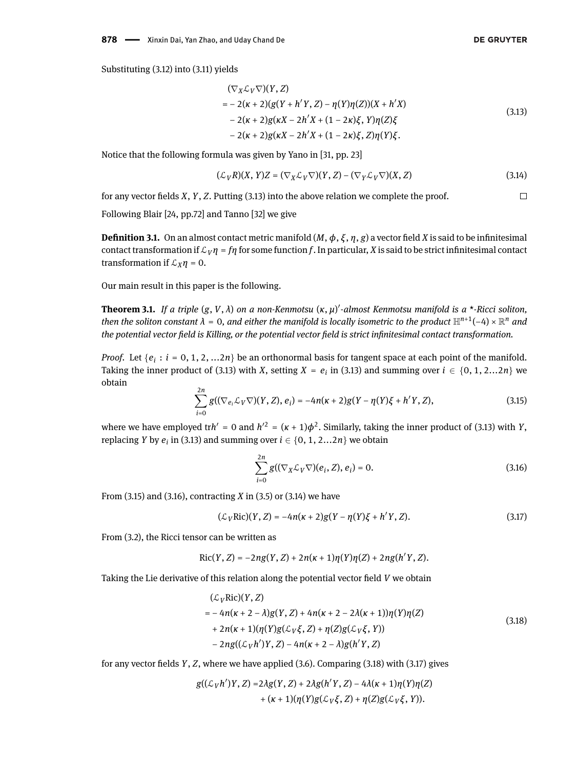<span id="page-4-0"></span>
$$
(\nabla_X \mathcal{L}_V \nabla)(Y, Z)
$$
  
= -2(\kappa + 2)(g(Y + h'Y, Z) – \eta(Y)\eta(Z))(X + h'X)  
- 2(\kappa + 2)g(\kappa X - 2h'X + (1 - 2\kappa)\xi, Y)\eta(Z)\xi  
- 2(\kappa + 2)g(\kappa X - 2h'X + (1 - 2\kappa)\xi, Z)\eta(Y)\xi. (3.13)

Notice that the following formula was given by Yano in [\[31,](#page-8-13) pp. 23]

<span id="page-4-3"></span>
$$
(\mathcal{L}_V R)(X, Y)Z = (\nabla_X \mathcal{L}_V \nabla)(Y, Z) - (\nabla_Y \mathcal{L}_V \nabla)(X, Z)
$$
\n(3.14)

for any vector fields *X*, *Y*, *Z*. Putting [\(3.13\)](#page-4-0) into the above relation we complete the proof.  $\Box$ 

Following Blair [\[24,](#page-8-6) pp.72] and Tanno [\[32\]](#page-8-14) we give

**Definition 3.1.** On an almost contact metric manifold  $(M, \phi, \xi, \eta, g)$  a vector field *X* is said to be infinitesimal contact transformation if  $\mathcal{L}_V \eta = f\eta$  for some function f. In particular, *X* is said to be strict infinitesimal contact transformation if  $\mathcal{L}_X \eta = 0$ .

Our main result in this paper is the following.

<span id="page-4-6"></span>**Theorem 3.1.** *If a triple* (*g*, *V*, *λ*) *on a non-Kenmotsu* (*κ*, *µ*) 0 *-almost Kenmotsu manifold is a* \**-Ricci soliton,* then the soliton constant  $\lambda$  = 0, and either the manifold is locally isometric to the product  $\mathbb{H}^{n+1}(-4)\times\mathbb{R}^n$  and the potential vector field is Killing, or the potential vector field is strict infinitesimal contact transformation.

<span id="page-4-1"></span>*Proof.* Let  $\{e_i : i = 0, 1, 2, ... 2n\}$  be an orthonormal basis for tangent space at each point of the manifold. Taking the inner product of [\(3.13\)](#page-4-0) with *X*, setting  $X = e_i$  in (3.13) and summing over  $i \in \{0, 1, 2...2n\}$  we obtain

$$
\sum_{i=0}^{2n} g((\nabla_{e_i} \mathcal{L}_V \nabla)(Y, Z), e_i) = -4n(\kappa + 2)g(Y - \eta(Y)\xi + h'Y, Z),
$$
\n(3.15)

where we have employed trh' = 0 and  $h'^2 = (\kappa + 1)\phi^2$ . Similarly, taking the inner product of [\(3.13\)](#page-4-0) with *Y*, replacing *Y* by  $e_i$  in [\(3.13\)](#page-4-0) and summing over  $i \in \{0, 1, 2...2n\}$  we obtain

<span id="page-4-5"></span><span id="page-4-4"></span><span id="page-4-2"></span>
$$
\sum_{i=0}^{2n} g((\nabla_X \mathcal{L}_V \nabla)(e_i, Z), e_i) = 0.
$$
 (3.16)

From [\(3.15\)](#page-4-1) and [\(3.16\)](#page-4-2), contracting *X* in [\(3.5\)](#page-3-6) or [\(3.14\)](#page-4-3) we have

$$
(\mathcal{L}_V \text{Ric})(Y, Z) = -4n(\kappa + 2)g(Y - \eta(Y)\xi + h'Y, Z). \tag{3.17}
$$

From [\(3.2\)](#page-2-5), the Ricci tensor can be written as

$$
Ric(Y, Z) = -2ng(Y, Z) + 2n(\kappa + 1)\eta(Y)\eta(Z) + 2ng(h'Y, Z).
$$

Taking the Lie derivative of this relation along the potential vector field *V* we obtain

$$
(\mathcal{L}_V \text{Ric})(Y, Z) = -4n(\kappa + 2 - \lambda)g(Y, Z) + 4n(\kappa + 2 - 2\lambda(\kappa + 1))\eta(Y)\eta(Z) + 2n(\kappa + 1)(\eta(Y)g(\mathcal{L}_V \xi, Z) + \eta(Z)g(\mathcal{L}_V \xi, Y)) - 2ng((\mathcal{L}_V h')Y, Z) - 4n(\kappa + 2 - \lambda)g(h'Y, Z)
$$
\n(3.18)

for any vector fields *Y*, *Z*, where we have applied [\(3.6\)](#page-3-7). Comparing [\(3.18\)](#page-4-4) with [\(3.17\)](#page-4-5) gives

$$
g((\mathcal{L}_V h')Y,Z) = 2\lambda g(Y,Z) + 2\lambda g(h'Y,Z) - 4\lambda(\kappa+1)\eta(Y)\eta(Z) + (\kappa+1)(\eta(Y)g(\mathcal{L}_V\xi,Z) + \eta(Z)g(\mathcal{L}_V\xi,Y)).
$$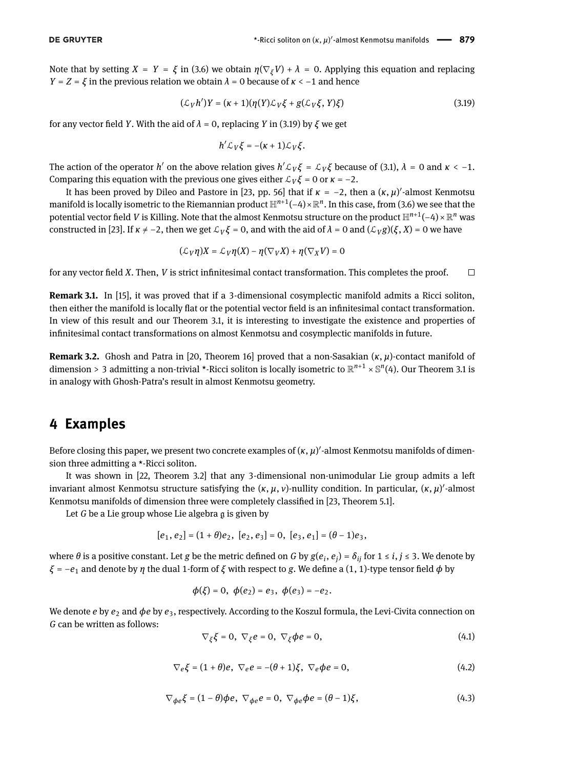Note that by setting  $X = Y = \xi$  in [\(3.6\)](#page-3-7) we obtain  $\eta(\nabla_{\xi}V) + \lambda = 0$ . Applying this equation and replacing *Y* = *Z* = *ξ* in the previous relation we obtain  $\lambda$  = 0 because of  $\kappa$  < −1 and hence

$$
(\mathcal{L}_V h')Y = (\kappa + 1)(\eta(Y)\mathcal{L}_V \xi + g(\mathcal{L}_V \xi, Y)\xi)
$$
\n(3.19)

for any vector field *Y*. With the aid of  $λ = 0$ , replacing *Y* in [\(3.19\)](#page-5-0) by  $ξ$  we get

<span id="page-5-0"></span>
$$
h'\mathcal{L}_V\xi=-(\kappa+1)\mathcal{L}_V\xi.
$$

The action of the operator *h'* on the above relation gives  $h' \mathcal{L}_V \xi = \mathcal{L}_V \xi$  because of [\(3.1\)](#page-2-1),  $\lambda = 0$  and  $\kappa < -1$ . Comparing this equation with the previous one gives either  $\mathcal{L}_V \xi = 0$  or  $\kappa = -2$ .

It has been proved by Dileo and Pastore in [\[23,](#page-8-5) pp. 56] that if  $\kappa = -2$ , then a  $(\kappa, \mu)'$ -almost Kenmotsu manifold is locally isometric to the Riemannian product  $\mathbb{H}^{n+1}(-4)\times\mathbb{R}^n.$  In this case, from [\(3.6\)](#page-3-7) we see that the potential vector field *V* is Killing. Note that the almost Kenmotsu structure on the product  $\mathbb{H}^{n+1}(-4)\times \mathbb{R}^n$  was constructed in [\[23\]](#page-8-5). If  $\kappa \neq -2$ , then we get  $\mathcal{L}_V \xi = 0$ , and with the aid of  $\lambda = 0$  and  $(\mathcal{L}_V g)(\xi, X) = 0$  we have

$$
(\mathcal{L}_V \eta) X = \mathcal{L}_V \eta(X) - \eta (\nabla_V X) + \eta (\nabla_X V) = 0
$$

for any vector field *X*. Then, *V* is strict infinitesimal contact transformation. This completes the proof.  $\Box$ 

**Remark 3.1.** In [\[15\]](#page-7-12), it was proved that if a 3-dimensional cosymplectic manifold admits a Ricci soliton, then either the manifold is locally flat or the potential vector field is an infinitesimal contact transformation. In view of this result and our Theorem [3.1,](#page-4-6) it is interesting to investigate the existence and properties of infinitesimal contact transformations on almost Kenmotsu and cosymplectic manifolds in future.

**Remark 3.2.** Ghosh and Patra in [\[20,](#page-8-2) Theorem 16] proved that a non-Sasakian (*κ*, *µ*)-contact manifold of dimension > 3 admitting a non-trivial \*-Ricci soliton is locally isometric to R *<sup>n</sup>*+1 × S *n* (4). Our Theorem [3.1](#page-4-6) is in analogy with Ghosh-Patra's result in almost Kenmotsu geometry.

### **4 Examples**

Before closing this paper, we present two concrete examples of  $(\kappa, \mu)'$ -almost Kenmotsu manifolds of dimension three admitting a \*-Ricci soliton.

It was shown in [\[22,](#page-8-4) Theorem 3.2] that any 3-dimensional non-unimodular Lie group admits a left invariant almost Kenmotsu structure satisfying the (*κ*, *μ*, *ν*)-nullity condition. In particular, (*κ*, *μ*)'-almost Kenmotsu manifolds of dimension three were completely classified in [\[23,](#page-8-5) Theorem 5.1].

Let *G* be a Lie group whose Lie algebra g is given by

$$
[e_1, e_2] = (1 + \theta)e_2, [e_2, e_3] = 0, [e_3, e_1] = (\theta - 1)e_3,
$$

where  $θ$  is a positive constant. Let  $g$  be the metric defined on  $G$  by  $g(e_i,e_j)$  =  $\delta_{ij}$  for 1 ≤  $i,j$  ≤ 3. We denote by *ξ* =  $-e_1$  and denote by *η* the dual 1-form of *ξ* with respect to *g*. We define a (1, 1)-type tensor field *φ* by

<span id="page-5-1"></span>
$$
\phi(\xi) = 0
$$
,  $\phi(e_2) = e_3$ ,  $\phi(e_3) = -e_2$ .

<span id="page-5-2"></span>We denote *e* by *e<sub>2</sub>* and *φe* by *e<sub>3</sub>*, respectively. According to the Koszul formula, the Levi-Civita connection on *G* can be written as follows:

$$
\nabla_{\xi}\xi = 0, \ \nabla_{\xi}e = 0, \ \nabla_{\xi}\phi e = 0,
$$
\n(4.1)

$$
\nabla_e \xi = (1+\theta)e, \ \nabla_e e = -(\theta+1)\xi, \ \nabla_e \phi e = 0,
$$
\n(4.2)

$$
\nabla_{\phi e} \xi = (1 - \theta) \phi e, \ \nabla_{\phi e} e = 0, \ \nabla_{\phi e} \phi e = (\theta - 1)\xi,
$$
\n(4.3)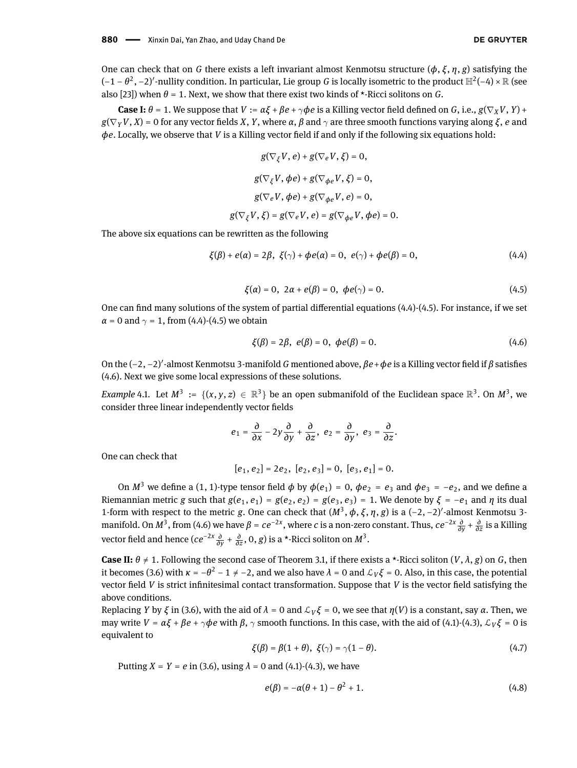One can check that on *G* there exists a left invariant almost Kenmotsu structure (*ϕ*, *ξ* , *η*, *g*) satisfying the (−1 − θ<sup>2</sup>, −2)'-nullity condition. In particular, Lie group *G* is locally isometric to the product H<sup>2</sup>(−4) × R (see also [\[23\]](#page-8-5)) when  $\theta = 1$ . Next, we show that there exist two kinds of \*-Ricci solitons on *G*.

**Case I:**  $\theta = 1$ . We suppose that  $V := \alpha \xi + \beta e + \gamma \phi e$  is a Killing vector field defined on *G*, i.e.,  $g(\nabla_x V, Y) + g(\nabla_x V, Y)$  $g(\nabla_V V, X) = 0$  for any vector fields *X*, *Y*, where  $\alpha$ ,  $\beta$  and  $\gamma$  are three smooth functions varying along  $\xi$ , *e* and  $φe$ . Locally, we observe that *V* is a Killing vector field if and only if the following six equations hold:

$$
g(\nabla_{\xi}V, e) + g(\nabla_{e}V, \xi) = 0,
$$
  
\n
$$
g(\nabla_{\xi}V, \phi e) + g(\nabla_{\phi e}V, \xi) = 0,
$$
  
\n
$$
g(\nabla_{e}V, \phi e) + g(\nabla_{\phi e}V, e) = 0,
$$
  
\n
$$
g(\nabla_{\xi}V, \xi) = g(\nabla_{e}V, e) = g(\nabla_{\phi e}V, \phi e) = 0.
$$

The above six equations can be rewritten as the following

$$
\xi(\beta) + e(\alpha) = 2\beta, \ \xi(\gamma) + \phi e(\alpha) = 0, \ e(\gamma) + \phi e(\beta) = 0,\tag{4.4}
$$

<span id="page-6-0"></span>
$$
\xi(\alpha) = 0, \ 2\alpha + e(\beta) = 0, \ \phi e(\gamma) = 0. \tag{4.5}
$$

<span id="page-6-1"></span>One can find many solutions of the system of partial differential equations  $(4.4)-(4.5)$  $(4.4)-(4.5)$  $(4.4)-(4.5)$ . For instance, if we set  $\alpha$  = 0 and  $\gamma$  = 1, from [\(4.4\)](#page-6-0)-[\(4.5\)](#page-6-1) we obtain

<span id="page-6-2"></span>
$$
\xi(\beta) = 2\beta, \ e(\beta) = 0, \ \phi e(\beta) = 0. \tag{4.6}
$$

On the (-2, -2)'-almost Kenmotsu 3-manifold *G* mentioned above,  $\beta e + \phi e$  is a Killing vector field if *β* satisfies [\(4.6\)](#page-6-2). Next we give some local expressions of these solutions.

*Example* 4.1. Let  $M^3 := \{(x, y, z) \in \mathbb{R}^3\}$  be an open submanifold of the Euclidean space  $\mathbb{R}^3$ . On  $M^3$ , we consider three linear independently vector fields

$$
e_1=\frac{\partial}{\partial x}-2y\frac{\partial}{\partial y}+\frac{\partial}{\partial z},\ e_2=\frac{\partial}{\partial y},\ e_3=\frac{\partial}{\partial z}.
$$

One can check that

$$
[e_1, e_2] = 2e_2, [e_2, e_3] = 0, [e_3, e_1] = 0.
$$

On  $M^3$  we define a (1, 1)-type tensor field  $\phi$  by  $\phi(e_1) = 0$ ,  $\phi(e_2) = e_3$  and  $\phi(e_3) = -e_2$ , and we define a Riemannian metric *g* such that  $g(e_1, e_1) = g(e_2, e_2) = g(e_3, e_3) = 1$ . We denote by  $\xi = -e_1$  and  $\eta$  its dual 1-form with respect to the metric *g*. One can check that  $(M^3, \phi, \xi, \eta, g)$  is a  $(-2, -2)'$ -almost Kenmotsu 3manifold. On  $M^3$ , from [\(4.6\)](#page-6-2) we have  $β = ce^{-2x}$ , where *c* is a non-zero constant. Thus,  $ce^{-2x}$   $\frac{∂}{∂y} + \frac{∂}{∂z}$  is a Killing  $\alpha$  vector field and hence ( $ce^{-2x} \frac{\partial}{\partial y} + \frac{\partial}{\partial z}$ , 0, *g*) is a \*-Ricci soliton on  $M^3$ .

**Case II:**  $\theta \neq 1$ . Following the second case of Theorem [3.1,](#page-4-6) if there exists a \*-Ricci soliton  $(V, \lambda, g)$  on *G*, then it becomes [\(3.6\)](#page-3-7) with  $\kappa = -\theta^2 - 1 \neq -2$ , and we also have  $\lambda = 0$  and  $\mathcal{L}_V \xi = 0$ . Also, in this case, the potential vector field  $V$  is strict infinitesimal contact transformation. Suppose that  $V$  is the vector field satisfying the above conditions.

Replacing *Y* by *ξ* in [\(3.6\)](#page-3-7), with the aid of  $λ = 0$  and  $L_V\xi = 0$ , we see that  $η(V)$  is a constant, say *α*. Then, we may write  $V = \alpha \xi + \beta e + \gamma \phi e$  with  $\beta$ ,  $\gamma$  smooth functions. In this case, with the aid of [\(4.1\)](#page-5-1)-[\(4.3\)](#page-5-2),  $\mathcal{L}_V \xi = 0$  is equivalent to

$$
\xi(\beta) = \beta(1+\theta), \ \xi(\gamma) = \gamma(1-\theta). \tag{4.7}
$$

Putting  $X = Y = e$  in [\(3.6\)](#page-3-7), using  $\lambda = 0$  and [\(4.1\)](#page-5-1)-[\(4.3\)](#page-5-2), we have

$$
e(\beta) = -\alpha(\theta + 1) - \theta^2 + 1. \tag{4.8}
$$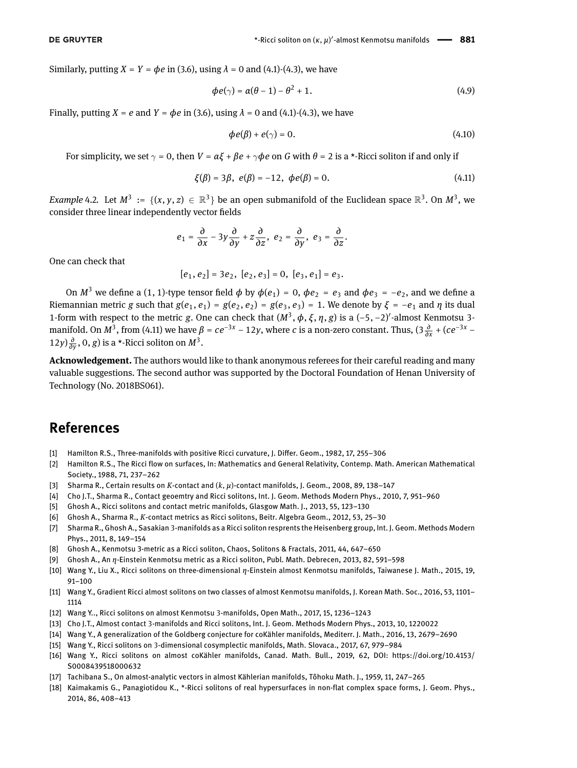**DE GRUYTER** 

Similarly, putting  $X = Y = \phi e$  in [\(3.6\)](#page-3-7), using  $\lambda = 0$  and [\(4.1\)](#page-5-1)-[\(4.3\)](#page-5-2), we have

$$
\phi e(\gamma) = \alpha(\theta - 1) - \theta^2 + 1. \tag{4.9}
$$

Finally, putting  $X = e$  and  $Y = \phi e$  in [\(3.6\)](#page-3-7), using  $\lambda = 0$  and [\(4.1\)](#page-5-1)-[\(4.3\)](#page-5-2), we have

<span id="page-7-13"></span>
$$
\phi e(\beta) + e(\gamma) = 0. \tag{4.10}
$$

For simplicity, we set  $\gamma = 0$ , then  $V = \alpha \xi + \beta e + \gamma \phi e$  on *G* with  $\theta = 2$  is a \*-Ricci soliton if and only if

$$
\xi(\beta) = 3\beta, \ e(\beta) = -12, \ \phi e(\beta) = 0. \tag{4.11}
$$

*Example* 4.2. Let  $M^3 := \{(x, y, z) \in \mathbb{R}^3\}$  be an open submanifold of the Euclidean space  $\mathbb{R}^3$ . On  $M^3$ , we consider three linear independently vector fields

$$
e_1=\frac{\partial}{\partial x}-3y\frac{\partial}{\partial y}+z\frac{\partial}{\partial z}, e_2=\frac{\partial}{\partial y}, e_3=\frac{\partial}{\partial z}.
$$

One can check that

$$
[e_1, e_2] = 3e_2, [e_2, e_3] = 0, [e_3, e_1] = e_3.
$$

On  $M^3$  we define a (1, 1)-type tensor field  $\phi$  by  $\phi(e_1) = 0$ ,  $\phi e_2 = e_3$  and  $\phi e_3 = -e_2$ , and we define a Riemannian metric *g* such that  $g(e_1, e_1) = g(e_2, e_2) = g(e_3, e_3) = 1$ . We denote by  $\xi = -e_1$  and  $\eta$  its dual 1-form with respect to the metric *g*. One can check that  $(M^3, \phi, \xi, \eta, g)$  is a  $(-5, -2)'$ -almost Kenmotsu 3manifold. On  $M^3$ , from [\(4.11\)](#page-7-13) we have  $\beta = ce^{-3x} - 12y$ , where *c* is a non-zero constant. Thus,  $(3\frac{\partial}{\partial x} + (ce^{-3x} - 12y))$ 12*y*) $\frac{\partial}{\partial y}$ , 0, *g*) is a \*-Ricci soliton on  $M^3$ .

**Acknowledgement.** The authors would like to thank anonymous referees for their careful reading and many valuable suggestions. The second author was supported by the Doctoral Foundation of Henan University of Technology (No. 2018BS061).

## **References**

- <span id="page-7-0"></span>[1] Hamilton R.S., Three-manifolds with positive Ricci curvature, J. Differ. Geom., 1982, 17, 255–306
- <span id="page-7-1"></span>[2] Hamilton R.S., The Ricci flow on surfaces, In: Mathematics and General Relativity, Contemp. Math. American Mathematical Society., 1988, 71, 237–262
- <span id="page-7-2"></span>[3] Sharma R., Certain results on *K*-contact and (*k*, *µ*)-contact manifolds, J. Geom., 2008, 89, 138–147
- <span id="page-7-3"></span>[4] Cho J.T., Sharma R., Contact geoemtry and Ricci solitons, Int. J. Geom. Methods Modern Phys., 2010, 7, 951–960
- [5] Ghosh A., Ricci solitons and contact metric manifolds, Glasgow Math. J., 2013, 55, 123–130
- [6] Ghosh A., Sharma R., *K*-contact metrics as Ricci solitons, Beitr. Algebra Geom., 2012, 53, 25–30
- <span id="page-7-4"></span>[7] Sharma R., Ghosh A., Sasakian 3-manifolds as a Ricci soliton resprents the Heisenberg group, Int. J. Geom. Methods Modern Phys., 2011, 8, 149–154
- <span id="page-7-5"></span>[8] Ghosh A., Kenmotsu 3-metric as a Ricci soliton, Chaos, Solitons & Fractals, 2011, 44, 647–650
- [9] Ghosh A., An *η*-Einstein Kenmotsu metric as a Ricci soliton, Publ. Math. Debrecen, 2013, 82, 591–598
- <span id="page-7-11"></span>[10] Wang Y., Liu X., Ricci solitons on three-dimensional *η*-Einstein almost Kenmotsu manifolds, Taiwanese J. Math., 2015, 19, 91–100
- [11] Wang Y., Gradient Ricci almost solitons on two classes of almost Kenmotsu manifolds, J. Korean Math. Soc., 2016, 53, 1101– 1114
- <span id="page-7-6"></span>[12] Wang Y.., Ricci solitons on almost Kenmotsu 3-manifolds, Open Math., 2017, 15, 1236–1243
- <span id="page-7-7"></span>[13] Cho J.T., Almost contact 3-manifolds and Ricci solitons, Int. J. Geom. Methods Modern Phys., 2013, 10, 1220022
- [14] Wang Y., A generalization of the Goldberg conjecture for coKähler manifolds, Mediterr. J. Math., 2016, 13, 2679–2690
- <span id="page-7-12"></span>[15] Wang Y., Ricci solitons on 3-dimensional cosymplectic manifolds, Math. Slovaca., 2017, 67, 979–984
- <span id="page-7-8"></span>[16] Wang Y., Ricci solitons on almost coKähler manifolds, Canad. Math. Bull., 2019, 62, DOI: [https://doi.org/10.4153/](https://doi.org/10.4153/S0008439518000632) [S0008439518000632](https://doi.org/10.4153/S0008439518000632)
- <span id="page-7-9"></span>[17] Tachibana S., On almost-analytic vectors in almost Kählerian manifolds, Tôhoku Math. J., 1959, 11, 247–265
- <span id="page-7-10"></span>[18] Kaimakamis G., Panagiotidou K., \*-Ricci solitons of real hypersurfaces in non-flat complex space forms, J. Geom. Phys., 2014, 86, 408–413